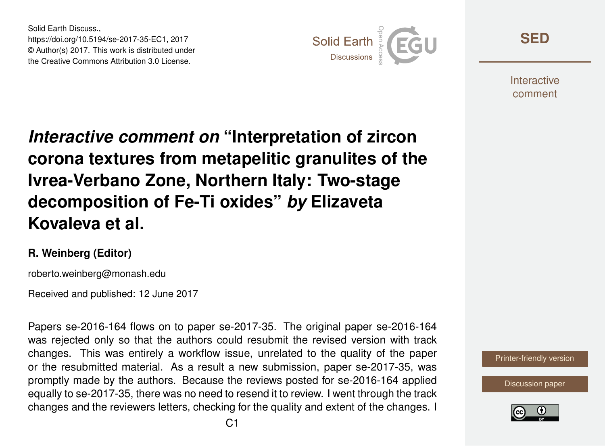Solid Earth Discuss., https://doi.org/10.5194/se-2017-35-EC1, 2017 © Author(s) 2017. This work is distributed under the Creative Commons Attribution 3.0 License.



**[SED](http://www.solid-earth-discuss.net/)**

**Interactive** comment

*Interactive comment on* **"Interpretation of zircon corona textures from metapelitic granulites of the Ivrea-Verbano Zone, Northern Italy: Two-stage decomposition of Fe-Ti oxides"** *by* **Elizaveta Kovaleva et al.**

## **R. Weinberg (Editor)**

roberto.weinberg@monash.edu

Received and published: 12 June 2017

Papers se-2016-164 flows on to paper se-2017-35. The original paper se-2016-164 was rejected only so that the authors could resubmit the revised version with track changes. This was entirely a workflow issue, unrelated to the quality of the paper or the resubmitted material. As a result a new submission, paper se-2017-35, was promptly made by the authors. Because the reviews posted for se-2016-164 applied equally to se-2017-35, there was no need to resend it to review. I went through the track changes and the reviewers letters, checking for the quality and extent of the changes. I



[Discussion paper](http://www.solid-earth-discuss.net/se-2017-35)